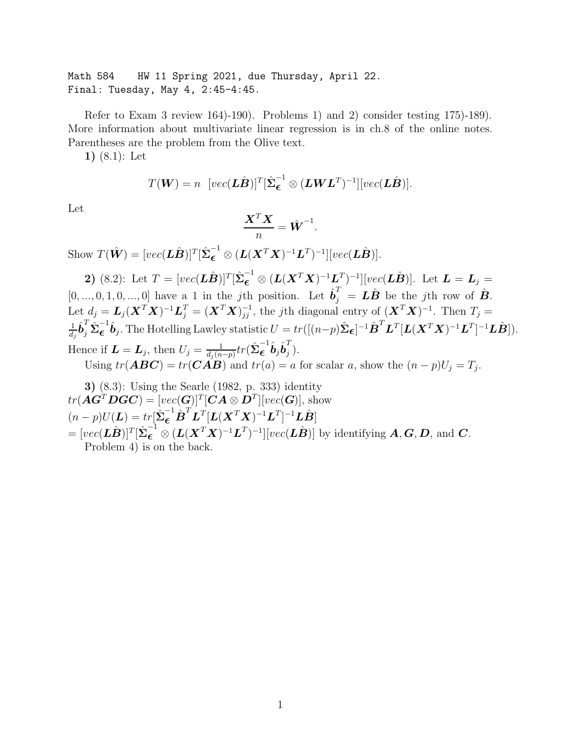Math 584 HW 11 Spring 2021, due Thursday, April 22. Final: Tuesday, May 4, 2:45-4:45.

Refer to Exam 3 review 164)-190). Problems 1) and 2) consider testing 175)-189). More information about multivariate linear regression is in ch.8 of the online notes. Parentheses are the problem from the Olive text.

1) (8.1): Let

$$
T(\boldsymbol{W}) = n \left[ vec(\boldsymbol{L}\hat{\boldsymbol{B}}) \right]^T [\hat{\boldsymbol{\Sigma}}_{\boldsymbol{\epsilon}}^{-1} \otimes (\boldsymbol{L}\boldsymbol{W}\boldsymbol{L}^T)^{-1}] [vec(\boldsymbol{L}\hat{\boldsymbol{B}})].
$$

Let

$$
\frac{\boldsymbol{X}^T\boldsymbol{X}}{n} = \hat{\boldsymbol{W}}^{-1}.
$$

Show  $T(\hat{\mathbf{W}}) = [vec(\mathbf{L}\hat{\mathbf{B}})]^T [\hat{\boldsymbol{\Sigma}}_{\boldsymbol{\epsilon}}^{-1} \otimes (\mathbf{L}(\mathbf{X}^T\mathbf{X})^{-1}\mathbf{L}^T)^{-1}][vec(\mathbf{L}\hat{\mathbf{B}})].$ 

2) (8.2): Let  $T = [vec(\bm{L}\hat{\bm{B}})]^T [\hat{\bm{\Sigma}}_{\bm{\epsilon}}^{-1} \otimes (\bm{L}(\bm{X}^T\bm{X})^{-1}\bm{L}_T^T)^{-1}][vec(\bm{L}\hat{\bm{B}})].$  Let  $\bm{L} = \bm{L}_j =$  $[0, ..., 0, 1, 0, ..., 0]$  have a 1 in the jth position. Let  $\hat{\boldsymbol{b}}_j^T = \boldsymbol{L}\hat{\boldsymbol{B}}$  be the jth row of  $\hat{\boldsymbol{B}}$ . Let  $d_j = L_j(\boldsymbol{X}^T\boldsymbol{X})^{-1}\boldsymbol{L}_j^T = (\boldsymbol{X}^T\boldsymbol{X})^{-1}_{jj}$ , the jth diagonal entry of  $(\boldsymbol{X}^T\boldsymbol{X})^{-1}$ . Then  $T_j =$ 1  $\frac{1}{d_j}\hat{{\bm{b}}}^T_j\hat{\boldsymbol{\Sigma}}^{-1}_{\bm{\epsilon}}$  $\boldsymbol{\epsilon}^{-1}\hat{\boldsymbol{b}}_j$ . The Hotelling Lawley statistic  $U=tr([(n-p)\hat{\boldsymbol{\Sigma}}_{\boldsymbol{\epsilon}}]^{-1}\hat{\boldsymbol{B}}^T\boldsymbol{L}^T[\boldsymbol{L}(\boldsymbol{X}^T\boldsymbol{X})^{-1}\boldsymbol{L}^T]^{-1}\boldsymbol{L}\hat{\boldsymbol{B}}]).$ Hence if  $\boldsymbol{L} = \boldsymbol{L}_j$ , then  $U_j = \frac{1}{d_j(n-p)} tr(\hat{\boldsymbol{\Sigma}}_{\boldsymbol{\epsilon}}^{-1})$  $\overset{-1}{\bm{\epsilon}}\hat{\bm{b}}_{j}\hat{\bm{b}}_{j}^{T}$  $\frac{1}{j}$ . Using  $tr(\mathbf{ABC}) = tr(\mathbf{CAB})$  and  $tr(a) = a$  for scalar a, show the  $(n-p)U_j = T_j$ .

3) (8.3): Using the Searle (1982, p. 333) identity  $tr(\boldsymbol{A}\boldsymbol{G}^T\boldsymbol{D}\boldsymbol{G}\boldsymbol{C})=[vec(\boldsymbol{G})]^T[\boldsymbol{C}\boldsymbol{A}\otimes\boldsymbol{D}^T][vec(\boldsymbol{G})],$  show  $(n-p)U(\boldsymbol{L}) = tr[\hat{\boldsymbol{\Sigma}}_{\boldsymbol{\epsilon}}^{-1}\hat{\boldsymbol{B}}^{T}\boldsymbol{L}^{T}[\boldsymbol{L}(\boldsymbol{X}^{T}\boldsymbol{X})^{-1}\boldsymbol{L}^{T}]^{-1}\hat{\boldsymbol{L}}\hat{\boldsymbol{B}}]$  $= [vec(\mathbf{L}\hat{\mathbf{B}})]^T [\hat{\boldsymbol{\Sigma}}_{\boldsymbol{\epsilon}}^{-1} \otimes (\mathbf{L}(\mathbf{X}^T\mathbf{X})^{-1}\mathbf{L}^T)^{-1}][vec(\mathbf{L}\hat{\mathbf{B}})]$  by identifying  $\boldsymbol{A}, \boldsymbol{G}, \boldsymbol{D}$ , and  $\boldsymbol{C}$ . Problem 4) is on the back.